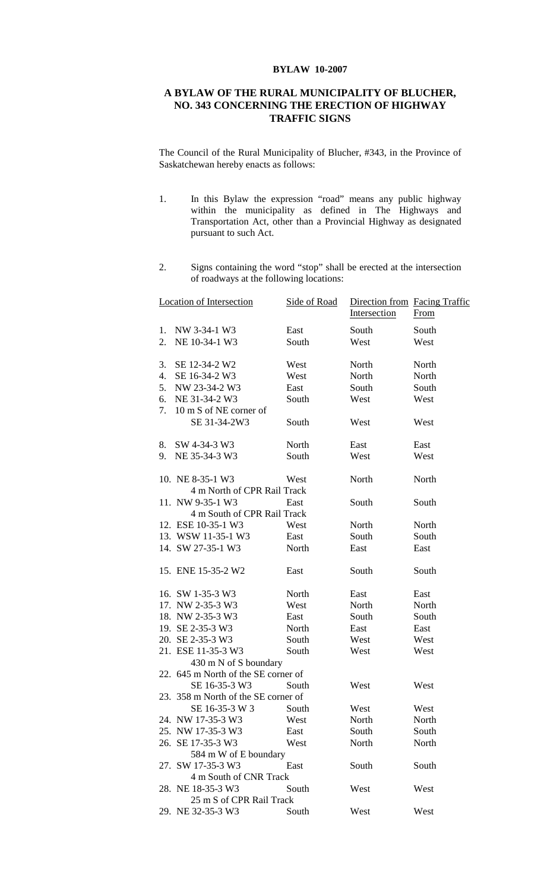## **BYLAW 10-2007**

## **A BYLAW OF THE RURAL MUNICIPALITY OF BLUCHER, NO. 343 CONCERNING THE ERECTION OF HIGHWAY TRAFFIC SIGNS**

The Council of the Rural Municipality of Blucher, #343, in the Province of Saskatchewan hereby enacts as follows:

- 1. In this Bylaw the expression "road" means any public highway within the municipality as defined in The Highways and Transportation Act, other than a Provincial Highway as designated pursuant to such Act.
- 2. Signs containing the word "stop" shall be erected at the intersection of roadways at the following locations:

|    | <b>Location of Intersection</b>     | Side of Road | Direction from Facing Traffic<br>Intersection | <b>From</b> |
|----|-------------------------------------|--------------|-----------------------------------------------|-------------|
| 1. | NW 3-34-1 W3                        | East         | South                                         | South       |
| 2. | NE 10-34-1 W3                       | South        | West                                          | West        |
|    |                                     |              |                                               |             |
| 3. | SE 12-34-2 W2                       | West         | North                                         | North       |
| 4. | SE 16-34-2 W3                       | West         | North                                         | North       |
| 5. | NW 23-34-2 W3                       | East         | South                                         | South       |
| 6. | NE 31-34-2 W3                       | South        | West                                          | West        |
| 7. | 10 m S of NE corner of              |              |                                               |             |
|    | SE 31-34-2W3                        | South        | West                                          | West        |
| 8. | SW 4-34-3 W3                        | North        | East                                          | East        |
| 9. | NE 35-34-3 W3                       | South        | West                                          | West        |
|    |                                     |              |                                               |             |
|    | 10. NE 8-35-1 W3                    | West         | North                                         | North       |
|    | 4 m North of CPR Rail Track         |              |                                               |             |
|    | 11. NW 9-35-1 W3                    | East         | South                                         | South       |
|    | 4 m South of CPR Rail Track         |              |                                               |             |
|    | 12. ESE 10-35-1 W3                  | West         | North                                         | North       |
|    | 13. WSW 11-35-1 W3                  | East         | South                                         | South       |
|    | 14. SW 27-35-1 W3                   | North        | East                                          | East        |
|    | 15. ENE 15-35-2 W2                  | East         | South                                         | South       |
|    | 16. SW 1-35-3 W3                    | North        | East                                          | East        |
|    | 17. NW 2-35-3 W3                    | West         | North                                         | North       |
|    | 18. NW 2-35-3 W3                    | East         | South                                         | South       |
|    | 19. SE 2-35-3 W3                    | North        | East                                          | East        |
|    | 20. SE 2-35-3 W3                    | South        | West                                          | West        |
|    | 21. ESE 11-35-3 W3                  | South        | West                                          | West        |
|    | 430 m N of S boundary               |              |                                               |             |
|    | 22. 645 m North of the SE corner of |              |                                               |             |
|    | SE 16-35-3 W3                       | South        | West                                          | West        |
|    | 23. 358 m North of the SE corner of |              |                                               |             |
|    | SE 16-35-3 W 3                      | South        | West                                          | West        |
|    | 24. NW 17-35-3 W3                   | West         | North                                         | North       |
|    | 25. NW 17-35-3 W3                   | East         | South                                         | South       |
|    | 26. SE 17-35-3 W3                   | West         | North                                         | North       |
|    | 584 m W of E boundary               |              |                                               |             |
|    | 27. SW 17-35-3 W3                   | East         | South                                         | South       |
|    | 4 m South of CNR Track              |              |                                               |             |
|    | 28. NE 18-35-3 W3                   | South        | West                                          | West        |
|    | 25 m S of CPR Rail Track            |              |                                               |             |
|    | 29. NE 32-35-3 W3                   | South        | West                                          | West        |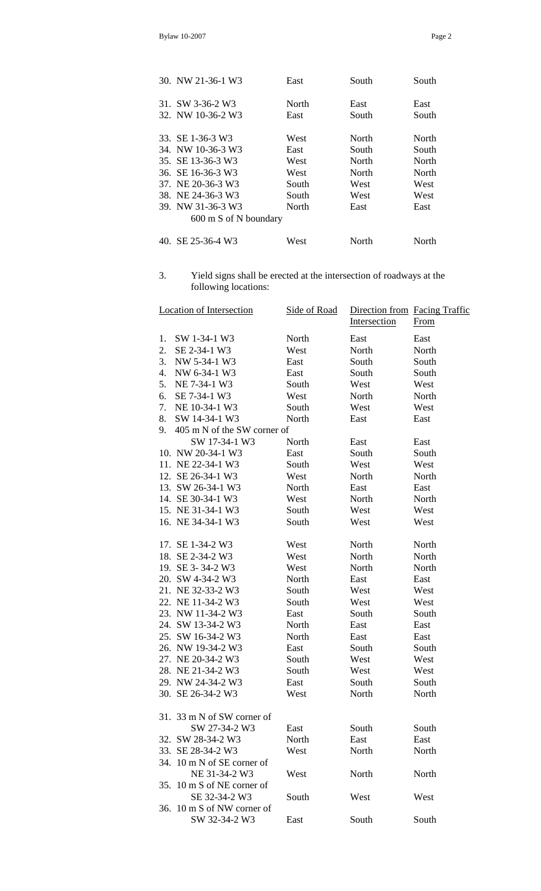| 30. NW 21-36-1 W3     | East  | South | South |
|-----------------------|-------|-------|-------|
| 31. SW 3-36-2 W3      | North | East  | East  |
| 32. NW 10-36-2 W3     | East  | South | South |
| 33. SE 1-36-3 W3      | West  | North | North |
| 34. NW 10-36-3 W3     | East  | South | South |
| 35. SE 13-36-3 W3     | West  | North | North |
| 36. SE 16-36-3 W3     | West  | North | North |
| 37. NE 20-36-3 W3     | South | West  | West  |
| 38. NE 24-36-3 W3     | South | West  | West  |
| 39. NW 31-36-3 W3     | North | East  | East  |
| 600 m S of N boundary |       |       |       |
| 40. SE 25-36-4 W3     | West  | North | North |

3. Yield signs shall be erected at the intersection of roadways at the following locations:

|    | <b>Location of Intersection</b> | Side of Road | Direction from Facing Traffic<br>Intersection | From  |
|----|---------------------------------|--------------|-----------------------------------------------|-------|
| 1. | SW 1-34-1 W3                    | North        | East                                          | East  |
| 2. | SE 2-34-1 W3                    | West         | North                                         | North |
| 3. | NW 5-34-1 W3                    | East         | South                                         | South |
| 4. | NW 6-34-1 W3                    | East         | South                                         | South |
| 5. | NE 7-34-1 W3                    | South        | West                                          | West  |
| 6. | SE 7-34-1 W3                    | West         | North                                         | North |
| 7. | NE 10-34-1 W3                   | South        | West                                          | West  |
| 8. | SW 14-34-1 W3                   | North        | East                                          | East  |
| 9. | 405 m N of the SW corner of     |              |                                               |       |
|    | SW 17-34-1 W3                   | North        | East                                          | East  |
|    | 10. NW 20-34-1 W3               | East         | South                                         | South |
|    | 11. NE 22-34-1 W3               | South        | West                                          | West  |
|    | 12. SE 26-34-1 W3               | West         | North                                         | North |
|    | 13. SW 26-34-1 W3               | North        | East                                          | East  |
|    | 14. SE 30-34-1 W3               | West         | North                                         | North |
|    | 15. NE 31-34-1 W3               | South        | West                                          | West  |
|    | 16. NE 34-34-1 W3               | South        | West                                          | West  |
|    | 17. SE 1-34-2 W3                | West         | North                                         | North |
|    | 18. SE 2-34-2 W3                | West         | North                                         | North |
|    | 19. SE 3-34-2 W3                | West         | North                                         | North |
|    | 20. SW 4-34-2 W3                | North        | East                                          | East  |
|    | 21. NE 32-33-2 W3               | South        | West                                          | West  |
|    | 22. NE 11-34-2 W3               | South        | West                                          | West  |
|    | 23. NW 11-34-2 W3               | East         | South                                         | South |
|    | 24. SW 13-34-2 W3               | North        | East                                          | East  |
|    | 25. SW 16-34-2 W3               | North        | East                                          | East  |
|    | 26. NW 19-34-2 W3               | East         | South                                         | South |
|    | 27. NE 20-34-2 W3               | South        | West                                          | West  |
|    | 28. NE 21-34-2 W3               | South        | West                                          | West  |
|    | 29. NW 24-34-2 W3               | East         | South                                         | South |
|    | 30. SE 26-34-2 W3               | West         | North                                         | North |
|    | 31. 33 m N of SW corner of      |              |                                               |       |
|    | SW 27-34-2 W3                   | East         | South                                         | South |
|    | 32. SW 28-34-2 W3               | North        | East                                          | East  |
|    | 33. SE 28-34-2 W3               | West         | North                                         | North |
|    | 34. 10 m N of SE corner of      |              |                                               |       |
|    | NE 31-34-2 W3                   | West         | North                                         | North |
|    | 35. 10 m S of NE corner of      |              |                                               |       |
|    | SE 32-34-2 W3                   | South        | West                                          | West  |
|    | 36. 10 m S of NW corner of      |              |                                               |       |
|    | SW 32-34-2 W3                   | East         | South                                         | South |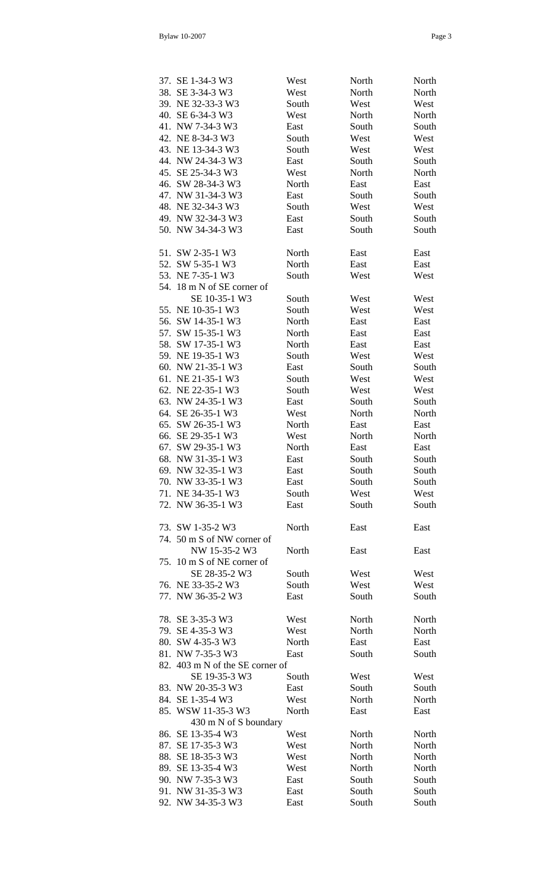|--|--|

| 37. SE 1-34-3 W3                | West  | North | North |
|---------------------------------|-------|-------|-------|
| 38. SE 3-34-3 W3                | West  | North | North |
| 39. NE 32-33-3 W3               | South | West  | West  |
| 40. SE 6-34-3 W3                | West  | North | North |
| 41. NW 7-34-3 W3                | East  | South | South |
| 42. NE 8-34-3 W3                | South | West  | West  |
| 43. NE 13-34-3 W3               | South | West  | West  |
| 44. NW 24-34-3 W3               | East  | South | South |
| 45. SE 25-34-3 W3               | West  | North | North |
| 46. SW 28-34-3 W3               | North | East  | East  |
| 47. NW 31-34-3 W3               | East  | South | South |
| 48. NE 32-34-3 W3               | South | West  | West  |
| 49. NW 32-34-3 W3               | East  | South | South |
| 50. NW 34-34-3 W3               | East  | South | South |
|                                 |       |       |       |
| 51. SW 2-35-1 W3                | North | East  | East  |
| 52. SW 5-35-1 W3                | North | East  | East  |
| 53. NE 7-35-1 W3                | South | West  | West  |
| 54. 18 m N of SE corner of      |       |       |       |
| SE 10-35-1 W3                   |       |       | West  |
|                                 | South | West  |       |
| 55. NE 10-35-1 W3               | South | West  | West  |
| 56. SW 14-35-1 W3               | North | East  | East  |
| 57. SW 15-35-1 W3               | North | East  | East  |
| 58. SW 17-35-1 W3               | North | East  | East  |
| 59. NE 19-35-1 W3               | South | West  | West  |
| 60. NW 21-35-1 W3               | East  | South | South |
| 61. NE 21-35-1 W3               | South | West  | West  |
| 62. NE 22-35-1 W3               | South | West  | West  |
| 63. NW 24-35-1 W3               | East  | South | South |
| 64. SE 26-35-1 W3               | West  | North | North |
| 65. SW 26-35-1 W3               | North | East  | East  |
| 66. SE 29-35-1 W3               | West  | North | North |
| 67. SW 29-35-1 W3               | North | East  | East  |
| 68. NW 31-35-1 W3               | East  | South | South |
| 69. NW 32-35-1 W3               | East  | South | South |
| 70. NW 33-35-1 W3               | East  | South | South |
| 71. NE 34-35-1 W3               | South | West  | West  |
| 72. NW 36-35-1 W3               | East  | South | South |
|                                 |       |       |       |
| 73. SW 1-35-2 W3                | North | East  | East  |
| 74. 50 m S of NW corner of      |       |       |       |
| NW 15-35-2 W3                   | North | East  | East  |
| 75. 10 m S of NE corner of      |       |       |       |
| SE 28-35-2 W3                   | South | West  | West  |
| 76. NE 33-35-2 W3               | South | West  | West  |
| 77. NW 36-35-2 W3               | East  | South | South |
|                                 |       |       |       |
| 78. SE 3-35-3 W3                | West  | North | North |
| 79. SE 4-35-3 W3                | West  | North | North |
| 80. SW 4-35-3 W3                | North | East  | East  |
| 81. NW 7-35-3 W3                | East  | South | South |
| 82. 403 m N of the SE corner of |       |       |       |
| SE 19-35-3 W3                   | South | West  | West  |
| 83. NW 20-35-3 W3               | East  | South | South |
| 84. SE 1-35-4 W3                | West  | North | North |
| 85. WSW 11-35-3 W3              | North |       |       |
| 430 m N of S boundary           |       | East  | East  |
| 86. SE 13-35-4 W3               | West  |       |       |
|                                 |       | North | North |
| 87. SE 17-35-3 W3               | West  | North | North |
| 88. SE 18-35-3 W3               | West  | North | North |
| 89. SE 13-35-4 W3               | West  | North | North |
| 90. NW 7-35-3 W3                | East  | South | South |
| 91. NW 31-35-3 W3               | East  | South | South |
| 92. NW 34-35-3 W3               | East  | South | South |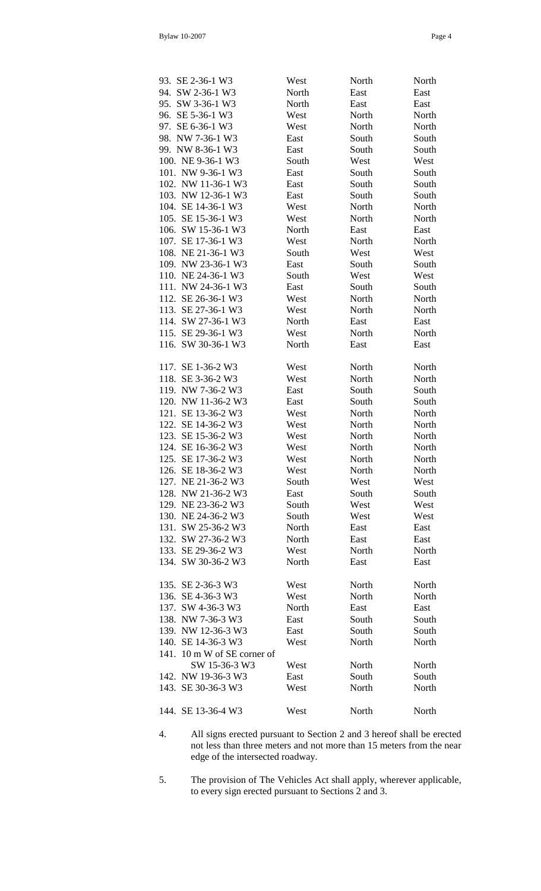|--|--|

| 93. SE 2-36-1 W3            | West  | North | North |
|-----------------------------|-------|-------|-------|
| 94. SW 2-36-1 W3            | North | East  | East  |
| 95. SW 3-36-1 W3            | North | East  | East  |
| 96. SE 5-36-1 W3            | West  | North | North |
| 97. SE 6-36-1 W3            | West  | North | North |
| 98. NW 7-36-1 W3            | East  | South | South |
| 99. NW 8-36-1 W3            | East  | South | South |
| 100. NE 9-36-1 W3           | South | West  | West  |
| 101. NW 9-36-1 W3           | East  | South | South |
| 102. NW 11-36-1 W3          | East  | South | South |
| 103. NW 12-36-1 W3          | East  | South | South |
| 104. SE 14-36-1 W3          | West  | North | North |
| 105. SE 15-36-1 W3          | West  | North | North |
| 106. SW 15-36-1 W3          | North | East  | East  |
| 107. SE 17-36-1 W3          | West  | North | North |
| 108. NE 21-36-1 W3          | South | West  | West  |
| 109. NW 23-36-1 W3          | East  | South | South |
| 110. NE 24-36-1 W3          | South | West  | West  |
| 111. NW 24-36-1 W3          | East  | South | South |
| 112. SE 26-36-1 W3          | West  | North | North |
| 113. SE 27-36-1 W3          | West  | North | North |
| 114. SW 27-36-1 W3          | North | East  | East  |
| 115. SE 29-36-1 W3          | West  | North | North |
| 116. SW 30-36-1 W3          | North | East  | East  |
|                             |       |       |       |
| 117. SE 1-36-2 W3           | West  | North | North |
| 118. SE 3-36-2 W3           | West  | North | North |
| 119. NW 7-36-2 W3           | East  | South | South |
| 120. NW 11-36-2 W3          | East  | South | South |
| 121. SE 13-36-2 W3          | West  | North | North |
| 122. SE 14-36-2 W3          | West  | North | North |
| 123. SE 15-36-2 W3          | West  | North | North |
| 124. SE 16-36-2 W3          | West  | North | North |
| 125. SE 17-36-2 W3          | West  | North | North |
| 126. SE 18-36-2 W3          | West  | North | North |
| 127. NE 21-36-2 W3          | South | West  | West  |
| 128. NW 21-36-2 W3          | East  | South | South |
| 129. NE 23-36-2 W3          | South | West  | West  |
| 130. NE 24-36-2 W3          | South | West  | West  |
| 131. SW 25-36-2 W3          | North | East  | East  |
| 132. SW 27-36-2 W3          | North | East  | East  |
| 133. SE 29-36-2 W3          | West  | North | North |
| 134. SW 30-36-2 W3          | North | East  | East  |
|                             |       |       |       |
| 135. SE 2-36-3 W3           | West  | North | North |
| 136. SE 4-36-3 W3           | West  | North | North |
| 137. SW 4-36-3 W3           | North | East  | East  |
| 138. NW 7-36-3 W3           | East  | South | South |
| 139. NW 12-36-3 W3          | East  | South | South |
| 140. SE 14-36-3 W3          | West  | North | North |
| 141. 10 m W of SE corner of |       |       |       |
| SW 15-36-3 W3               | West  | North | North |
| 142. NW 19-36-3 W3          | East  | South | South |
| 143. SE 30-36-3 W3          | West  | North | North |
|                             |       |       |       |
| 144. SE 13-36-4 W3          | West  | North | North |

- 4. All signs erected pursuant to Section 2 and 3 hereof shall be erected not less than three meters and not more than 15 meters from the near edge of the intersected roadway.
- 5. The provision of The Vehicles Act shall apply, wherever applicable, to every sign erected pursuant to Sections 2 and 3.